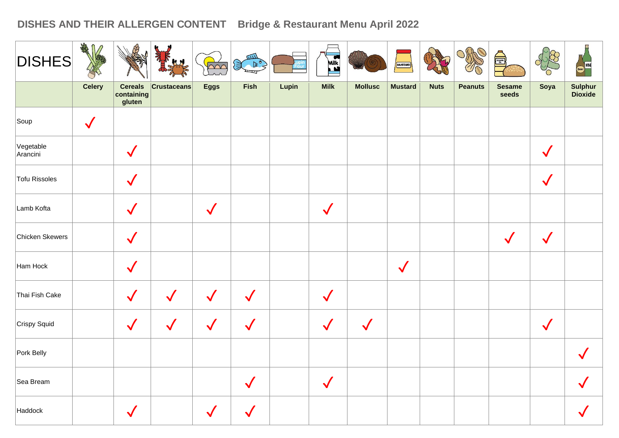## **DISHES AND THEIR ALLERGEN CONTENT Bridge & Restaurant Menu April 2022**

| <b>DISHES</b>         | ARA           |                                        | <b>KN</b>          | $\overline{\Omega}$ | $\mathbb{R}^{\bullet}$ |       | Mik          |                | MUSTARD        |             |                | A                      |              | Beer WINE                 |
|-----------------------|---------------|----------------------------------------|--------------------|---------------------|------------------------|-------|--------------|----------------|----------------|-------------|----------------|------------------------|--------------|---------------------------|
|                       | <b>Celery</b> | <b>Cereals</b><br>containing<br>gluten | <b>Crustaceans</b> | <b>Eggs</b>         | <b>Fish</b>            | Lupin | <b>Milk</b>  | <b>Mollusc</b> | <b>Mustard</b> | <b>Nuts</b> | <b>Peanuts</b> | <b>Sesame</b><br>seeds | Soya         | <b>Sulphur</b><br>Dioxide |
| Soup                  | $\sqrt{}$     |                                        |                    |                     |                        |       |              |                |                |             |                |                        |              |                           |
| Vegetable<br>Arancini |               | $\sqrt{}$                              |                    |                     |                        |       |              |                |                |             |                |                        | $\checkmark$ |                           |
| Tofu Rissoles         |               | $\checkmark$                           |                    |                     |                        |       |              |                |                |             |                |                        | $\checkmark$ |                           |
| Lamb Kofta            |               | $\checkmark$                           |                    | $\checkmark$        |                        |       | $\checkmark$ |                |                |             |                |                        |              |                           |
| Chicken Skewers       |               | $\checkmark$                           |                    |                     |                        |       |              |                |                |             |                | $\sqrt{}$              | $\checkmark$ |                           |
| Ham Hock              |               | $\sqrt{}$                              |                    |                     |                        |       |              |                | $\checkmark$   |             |                |                        |              |                           |
| Thai Fish Cake        |               | $\checkmark$                           | $\checkmark$       | $\checkmark$        | $\checkmark$           |       | $\checkmark$ |                |                |             |                |                        |              |                           |
| Crispy Squid          |               | $\checkmark$                           | $\checkmark$       | $\checkmark$        | $\checkmark$           |       | $\sqrt{}$    | $\checkmark$   |                |             |                |                        | $\checkmark$ |                           |
| Pork Belly            |               |                                        |                    |                     |                        |       |              |                |                |             |                |                        |              |                           |
| Sea Bream             |               |                                        |                    |                     | $\checkmark$           |       | $\sqrt{}$    |                |                |             |                |                        |              |                           |
| Haddock               |               | $\checkmark$                           |                    | $\sqrt{}$           | $\checkmark$           |       |              |                |                |             |                |                        |              |                           |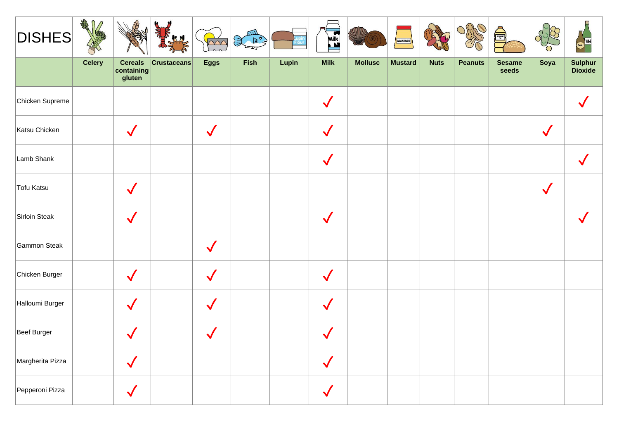| <b>DISHES</b>    | AMA<br>$\Omega$<br>$\bigcap$ |                                        | JU.                | $\sim$       | $\begin{picture}(120,115) \put(0,0){\line(1,0){10}} \put(15,0){\line(1,0){10}} \put(15,0){\line(1,0){10}} \put(15,0){\line(1,0){10}} \put(15,0){\line(1,0){10}} \put(15,0){\line(1,0){10}} \put(15,0){\line(1,0){10}} \put(15,0){\line(1,0){10}} \put(15,0){\line(1,0){10}} \put(15,0){\line(1,0){10}} \put(15,0){\line(1,0){10}} \put(15,0){\line$ |       | Milk         |                | MUSTARD        |             |                | é)                     |              | <b>WINE</b>        |
|------------------|------------------------------|----------------------------------------|--------------------|--------------|-----------------------------------------------------------------------------------------------------------------------------------------------------------------------------------------------------------------------------------------------------------------------------------------------------------------------------------------------------|-------|--------------|----------------|----------------|-------------|----------------|------------------------|--------------|--------------------|
|                  | <b>Celery</b>                | <b>Cereals</b><br>containing<br>gluten | <b>Crustaceans</b> | <b>Eggs</b>  | Fish                                                                                                                                                                                                                                                                                                                                                | Lupin | <b>Milk</b>  | <b>Mollusc</b> | <b>Mustard</b> | <b>Nuts</b> | <b>Peanuts</b> | <b>Sesame</b><br>seeds | Soya         | Sulphur<br>Dioxide |
| Chicken Supreme  |                              |                                        |                    |              |                                                                                                                                                                                                                                                                                                                                                     |       | $\checkmark$ |                |                |             |                |                        |              |                    |
| Katsu Chicken    |                              | $\checkmark$                           |                    | $\checkmark$ |                                                                                                                                                                                                                                                                                                                                                     |       | $\checkmark$ |                |                |             |                |                        | $\checkmark$ |                    |
| Lamb Shank       |                              |                                        |                    |              |                                                                                                                                                                                                                                                                                                                                                     |       | $\sqrt{}$    |                |                |             |                |                        |              |                    |
| Tofu Katsu       |                              | $\checkmark$                           |                    |              |                                                                                                                                                                                                                                                                                                                                                     |       |              |                |                |             |                |                        | $\checkmark$ |                    |
| Sirloin Steak    |                              | $\checkmark$                           |                    |              |                                                                                                                                                                                                                                                                                                                                                     |       | $\checkmark$ |                |                |             |                |                        |              |                    |
| Gammon Steak     |                              |                                        |                    | $\checkmark$ |                                                                                                                                                                                                                                                                                                                                                     |       |              |                |                |             |                |                        |              |                    |
| Chicken Burger   |                              | $\checkmark$                           |                    | $\checkmark$ |                                                                                                                                                                                                                                                                                                                                                     |       | $\checkmark$ |                |                |             |                |                        |              |                    |
| Halloumi Burger  |                              | $\checkmark$                           |                    | $\checkmark$ |                                                                                                                                                                                                                                                                                                                                                     |       | $\sqrt{}$    |                |                |             |                |                        |              |                    |
| Beef Burger      |                              | $\checkmark$                           |                    |              |                                                                                                                                                                                                                                                                                                                                                     |       | $\checkmark$ |                |                |             |                |                        |              |                    |
| Margherita Pizza |                              | $\sqrt{}$                              |                    |              |                                                                                                                                                                                                                                                                                                                                                     |       | $\sqrt{}$    |                |                |             |                |                        |              |                    |
| Pepperoni Pizza  |                              | $\checkmark$                           |                    |              |                                                                                                                                                                                                                                                                                                                                                     |       | $\sqrt{}$    |                |                |             |                |                        |              |                    |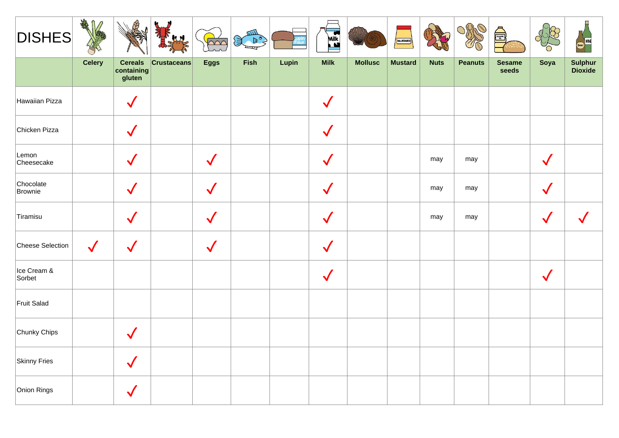| <b>DISHES</b>         | <b>FAR</b><br>∩ |                                                                          | $\mu$              | $\overline{\triangle\curvearrowright}$ | BOS  |       | Milk         |                | MUSTARD        |             |                | S                      |              | <b>WNE</b>         |
|-----------------------|-----------------|--------------------------------------------------------------------------|--------------------|----------------------------------------|------|-------|--------------|----------------|----------------|-------------|----------------|------------------------|--------------|--------------------|
|                       | <b>Celery</b>   | <b>Cereals</b><br>$\left \frac{\text{containing}}{\text{gluten}}\right $ | <b>Crustaceans</b> | <b>Eggs</b>                            | Fish | Lupin | <b>Milk</b>  | <b>Mollusc</b> | <b>Mustard</b> | <b>Nuts</b> | <b>Peanuts</b> | <b>Sesame</b><br>seeds | Soya         | Sulphur<br>Dioxide |
| Hawaiian Pizza        |                 | $\checkmark$                                                             |                    |                                        |      |       | $\sqrt{}$    |                |                |             |                |                        |              |                    |
| Chicken Pizza         |                 | $\checkmark$                                                             |                    |                                        |      |       | $\checkmark$ |                |                |             |                |                        |              |                    |
| Lemon<br>Cheesecake   |                 | $\checkmark$                                                             |                    |                                        |      |       |              |                |                | may         | may            |                        |              |                    |
| Chocolate<br>Brownie  |                 | $\checkmark$                                                             |                    | $\checkmark$                           |      |       | $\checkmark$ |                |                | may         | may            |                        | $\checkmark$ |                    |
| Tiramisu              |                 | $\checkmark$                                                             |                    | $\checkmark$                           |      |       | $\checkmark$ |                |                | may         | may            |                        | $\checkmark$ |                    |
| Cheese Selection      | $\checkmark$    | $\checkmark$                                                             |                    | $\checkmark$                           |      |       | $\checkmark$ |                |                |             |                |                        |              |                    |
| Ice Cream &<br>Sorbet |                 |                                                                          |                    |                                        |      |       | $\checkmark$ |                |                |             |                |                        | V            |                    |
| Fruit Salad           |                 |                                                                          |                    |                                        |      |       |              |                |                |             |                |                        |              |                    |
| Chunky Chips          |                 | $\checkmark$                                                             |                    |                                        |      |       |              |                |                |             |                |                        |              |                    |
| <b>Skinny Fries</b>   |                 | $\checkmark$                                                             |                    |                                        |      |       |              |                |                |             |                |                        |              |                    |
| Onion Rings           |                 | $\sqrt{}$                                                                |                    |                                        |      |       |              |                |                |             |                |                        |              |                    |